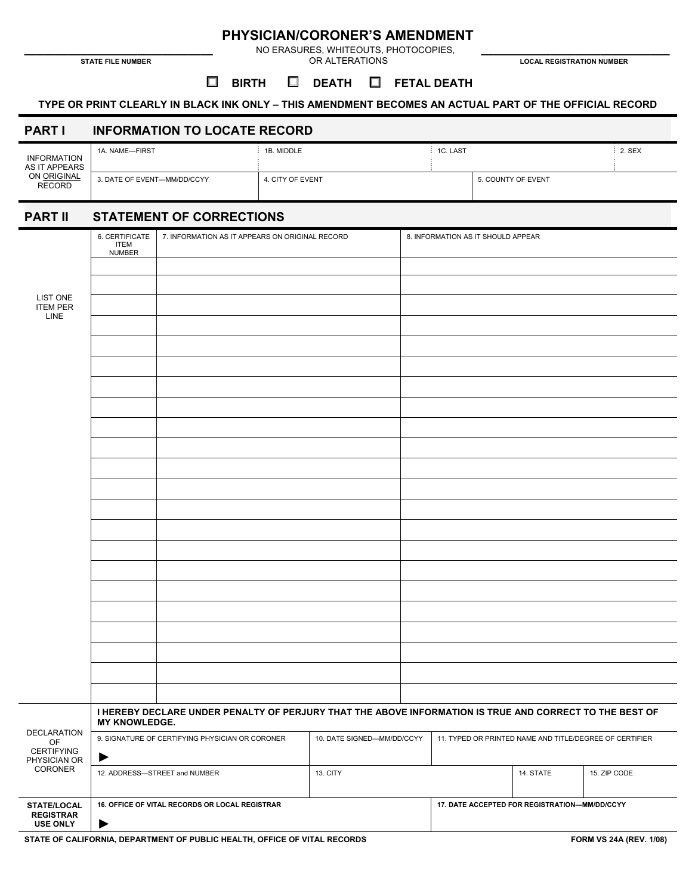**PHYSICIAN/CORONER'S AMENDMENT \_\_\_\_\_\_\_\_\_\_\_\_\_\_\_\_\_\_\_\_\_\_\_\_\_\_\_\_\_\_** NO ERASURES, WHITEOUTS, PHOTOCOPIES, **\_\_\_\_\_\_\_\_\_\_\_\_\_\_\_\_\_\_\_\_\_\_\_\_\_\_\_\_\_\_ STATE FILE NUMBER** OR ALTERATIONS **LOCAL REGISTRATION NUMBER** 

#### $\Box$  **BIRTH □ BIRTH □ DEATH □ FETAL DEATH**

#### **TYPE OR PRINT CLEARLY IN BLACK INK ONLY – THIS AMENDMENT BECOMES AN ACTUAL PART OF THE OFFICIAL RECORD**

## **PART I INFORMATION TO LOCATE RECORD**

| <b>INFORMATION</b><br>AS IT APPEARS<br>ON ORIGINAL<br><b>RECORD</b> | 1A. NAME-FIRST              | 1B. MIDDLE       | 1C. LAST |                    | 2. SEX |
|---------------------------------------------------------------------|-----------------------------|------------------|----------|--------------------|--------|
|                                                                     | 3. DATE OF EVENT-MM/DD/CCYY | 4. CITY OF EVENT |          | 5. COUNTY OF EVENT |        |

# **PART II STATEMENT OF CORRECTIONS**

|                                                            | 6. CERTIFICATE<br><b>ITEM</b><br><b>NUMBER</b>                                                                           | 7. INFORMATION AS IT APPEARS ON ORIGINAL RECORD |                            |  | 8. INFORMATION AS IT SHOULD APPEAR                      |           |              |  |
|------------------------------------------------------------|--------------------------------------------------------------------------------------------------------------------------|-------------------------------------------------|----------------------------|--|---------------------------------------------------------|-----------|--------------|--|
| LIST ONE<br><b>ITEM PER</b><br>LINE                        |                                                                                                                          |                                                 |                            |  |                                                         |           |              |  |
|                                                            |                                                                                                                          |                                                 |                            |  |                                                         |           |              |  |
|                                                            |                                                                                                                          |                                                 |                            |  |                                                         |           |              |  |
|                                                            |                                                                                                                          |                                                 |                            |  |                                                         |           |              |  |
|                                                            |                                                                                                                          |                                                 |                            |  |                                                         |           |              |  |
|                                                            |                                                                                                                          |                                                 |                            |  |                                                         |           |              |  |
|                                                            |                                                                                                                          |                                                 |                            |  |                                                         |           |              |  |
|                                                            |                                                                                                                          |                                                 |                            |  |                                                         |           |              |  |
|                                                            |                                                                                                                          |                                                 |                            |  |                                                         |           |              |  |
|                                                            |                                                                                                                          |                                                 |                            |  |                                                         |           |              |  |
|                                                            |                                                                                                                          |                                                 |                            |  |                                                         |           |              |  |
|                                                            |                                                                                                                          |                                                 |                            |  |                                                         |           |              |  |
|                                                            |                                                                                                                          |                                                 |                            |  |                                                         |           |              |  |
|                                                            |                                                                                                                          |                                                 |                            |  |                                                         |           |              |  |
|                                                            |                                                                                                                          |                                                 |                            |  |                                                         |           |              |  |
|                                                            |                                                                                                                          |                                                 |                            |  |                                                         |           |              |  |
|                                                            |                                                                                                                          |                                                 |                            |  |                                                         |           |              |  |
|                                                            |                                                                                                                          |                                                 |                            |  |                                                         |           |              |  |
|                                                            |                                                                                                                          |                                                 |                            |  |                                                         |           |              |  |
|                                                            |                                                                                                                          |                                                 |                            |  |                                                         |           |              |  |
|                                                            |                                                                                                                          |                                                 |                            |  |                                                         |           |              |  |
|                                                            |                                                                                                                          |                                                 |                            |  |                                                         |           |              |  |
| DECLARATION<br>OF<br>CERTIFYING<br>PHYSICIAN OR<br>CORONER | I HEREBY DECLARE UNDER PENALTY OF PERJURY THAT THE ABOVE INFORMATION IS TRUE AND CORRECT TO THE BEST OF<br>MY KNOWLEDGE. |                                                 |                            |  |                                                         |           |              |  |
|                                                            | 9. SIGNATURE OF CERTIFYING PHYSICIAN OR CORONER                                                                          |                                                 | 10. DATE SIGNED-MM/DD/CCYY |  | 11. TYPED OR PRINTED NAME AND TITLE/DEGREE OF CERTIFIER |           |              |  |
|                                                            | ▶                                                                                                                        |                                                 |                            |  |                                                         |           |              |  |
|                                                            | 12. ADDRESS-STREET and NUMBER                                                                                            |                                                 | 13. CITY                   |  |                                                         | 14. STATE | 15. ZIP CODE |  |
| STATE/LOCAL<br><b>REGISTRAR</b>                            | 16. OFFICE OF VITAL RECORDS OR LOCAL REGISTRAR                                                                           |                                                 |                            |  | 17. DATE ACCEPTED FOR REGISTRATION-MM/DD/CCYY           |           |              |  |
| <b>USE ONLY</b>                                            | ▶                                                                                                                        |                                                 |                            |  |                                                         |           |              |  |